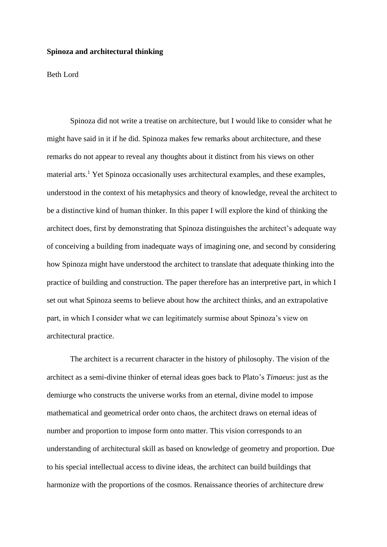## **Spinoza and architectural thinking**

Beth Lord

Spinoza did not write a treatise on architecture, but I would like to consider what he might have said in it if he did. Spinoza makes few remarks about architecture, and these remarks do not appear to reveal any thoughts about it distinct from his views on other material arts.<sup>1</sup> Yet Spinoza occasionally uses architectural examples, and these examples, understood in the context of his metaphysics and theory of knowledge, reveal the architect to be a distinctive kind of human thinker. In this paper I will explore the kind of thinking the architect does, first by demonstrating that Spinoza distinguishes the architect's adequate way of conceiving a building from inadequate ways of imagining one, and second by considering how Spinoza might have understood the architect to translate that adequate thinking into the practice of building and construction. The paper therefore has an interpretive part, in which I set out what Spinoza seems to believe about how the architect thinks, and an extrapolative part, in which I consider what we can legitimately surmise about Spinoza's view on architectural practice.

The architect is a recurrent character in the history of philosophy. The vision of the architect as a semi-divine thinker of eternal ideas goes back to Plato's *Timaeus*: just as the demiurge who constructs the universe works from an eternal, divine model to impose mathematical and geometrical order onto chaos, the architect draws on eternal ideas of number and proportion to impose form onto matter. This vision corresponds to an understanding of architectural skill as based on knowledge of geometry and proportion. Due to his special intellectual access to divine ideas, the architect can build buildings that harmonize with the proportions of the cosmos. Renaissance theories of architecture drew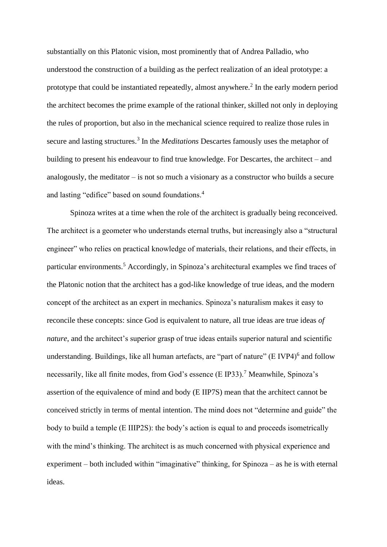substantially on this Platonic vision, most prominently that of Andrea Palladio, who understood the construction of a building as the perfect realization of an ideal prototype: a prototype that could be instantiated repeatedly, almost anywhere.<sup>2</sup> In the early modern period the architect becomes the prime example of the rational thinker, skilled not only in deploying the rules of proportion, but also in the mechanical science required to realize those rules in secure and lasting structures.<sup>3</sup> In the *Meditations* Descartes famously uses the metaphor of building to present his endeavour to find true knowledge. For Descartes, the architect – and analogously, the meditator – is not so much a visionary as a constructor who builds a secure and lasting "edifice" based on sound foundations.<sup>4</sup>

Spinoza writes at a time when the role of the architect is gradually being reconceived. The architect is a geometer who understands eternal truths, but increasingly also a "structural engineer" who relies on practical knowledge of materials, their relations, and their effects, in particular environments.<sup>5</sup> Accordingly, in Spinoza's architectural examples we find traces of the Platonic notion that the architect has a god-like knowledge of true ideas, and the modern concept of the architect as an expert in mechanics. Spinoza's naturalism makes it easy to reconcile these concepts: since God is equivalent to nature, all true ideas are true ideas *of nature*, and the architect's superior grasp of true ideas entails superior natural and scientific understanding. Buildings, like all human artefacts, are "part of nature" (E IVP4)<sup>6</sup> and follow necessarily, like all finite modes, from God's essence (E IP33).<sup>7</sup> Meanwhile, Spinoza's assertion of the equivalence of mind and body (E IIP7S) mean that the architect cannot be conceived strictly in terms of mental intention. The mind does not "determine and guide" the body to build a temple (E IIIP2S): the body's action is equal to and proceeds isometrically with the mind's thinking. The architect is as much concerned with physical experience and experiment – both included within "imaginative" thinking, for Spinoza – as he is with eternal ideas.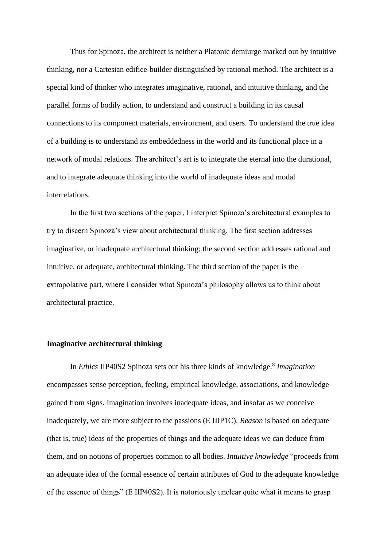Thus for Spinoza, the architect is neither a Platonic demiurge marked out by intuitive thinking, nor a Cartesian edifice-builder distinguished by rational method. The architect is a special kind of thinker who integrates imaginative, rational, and intuitive thinking, and the parallel forms of bodily action, to understand and construct a building in its causal connections to its component materials, environment, and users. To understand the true idea of a building is to understand its embeddedness in the world and its functional place in a network of modal relations. The architect's art is to integrate the eternal into the durational, and to integrate adequate thinking into the world of inadequate ideas and modal interrelations.

In the first two sections of the paper, I interpret Spinoza's architectural examples to try to discern Spinoza's view about architectural thinking. The first section addresses imaginative, or inadequate architectural thinking; the second section addresses rational and intuitive, or adequate, architectural thinking. The third section of the paper is the extrapolative part, where I consider what Spinoza's philosophy allows us to think about architectural practice.

#### **Imaginative architectural thinking**

In *Ethics* IIP40S2 Spinoza sets out his three kinds of knowledge.<sup>8</sup> Imagination encompasses sense perception, feeling, empirical knowledge, associations, and knowledge gained from signs. Imagination involves inadequate ideas, and insofar as we conceive inadequately, we are more subject to the passions (E IIIP1C). *Reason* is based on adequate (that is, true) ideas of the properties of things and the adequate ideas we can deduce from them, and on notions of properties common to all bodies. *Intuitive knowledge* "proceeds from an adequate idea of the formal essence of certain attributes of God to the adequate knowledge of the essence of things" (E IIP40S2). It is notoriously unclear quite what it means to grasp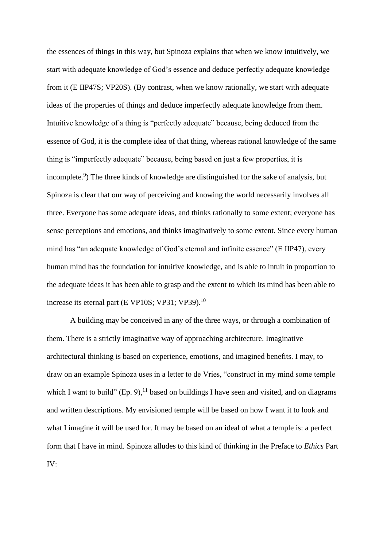the essences of things in this way, but Spinoza explains that when we know intuitively, we start with adequate knowledge of God's essence and deduce perfectly adequate knowledge from it (E IIP47S; VP20S). (By contrast, when we know rationally, we start with adequate ideas of the properties of things and deduce imperfectly adequate knowledge from them. Intuitive knowledge of a thing is "perfectly adequate" because, being deduced from the essence of God, it is the complete idea of that thing, whereas rational knowledge of the same thing is "imperfectly adequate" because, being based on just a few properties, it is incomplete.<sup>9</sup>) The three kinds of knowledge are distinguished for the sake of analysis, but Spinoza is clear that our way of perceiving and knowing the world necessarily involves all three. Everyone has some adequate ideas, and thinks rationally to some extent; everyone has sense perceptions and emotions, and thinks imaginatively to some extent. Since every human mind has "an adequate knowledge of God's eternal and infinite essence" (E IIP47), every human mind has the foundation for intuitive knowledge, and is able to intuit in proportion to the adequate ideas it has been able to grasp and the extent to which its mind has been able to increase its eternal part (E VP10S; VP31; VP39).<sup>10</sup>

A building may be conceived in any of the three ways, or through a combination of them. There is a strictly imaginative way of approaching architecture. Imaginative architectural thinking is based on experience, emotions, and imagined benefits. I may, to draw on an example Spinoza uses in a letter to de Vries, "construct in my mind some temple which I want to build" (Ep. 9),  $^{11}$  based on buildings I have seen and visited, and on diagrams and written descriptions. My envisioned temple will be based on how I want it to look and what I imagine it will be used for. It may be based on an ideal of what a temple is: a perfect form that I have in mind. Spinoza alludes to this kind of thinking in the Preface to *Ethics* Part IV: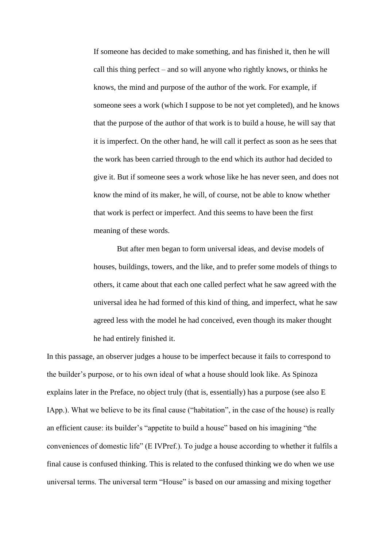If someone has decided to make something, and has finished it, then he will call this thing perfect – and so will anyone who rightly knows, or thinks he knows, the mind and purpose of the author of the work. For example, if someone sees a work (which I suppose to be not yet completed), and he knows that the purpose of the author of that work is to build a house, he will say that it is imperfect. On the other hand, he will call it perfect as soon as he sees that the work has been carried through to the end which its author had decided to give it. But if someone sees a work whose like he has never seen, and does not know the mind of its maker, he will, of course, not be able to know whether that work is perfect or imperfect. And this seems to have been the first meaning of these words.

But after men began to form universal ideas, and devise models of houses, buildings, towers, and the like, and to prefer some models of things to others, it came about that each one called perfect what he saw agreed with the universal idea he had formed of this kind of thing, and imperfect, what he saw agreed less with the model he had conceived, even though its maker thought he had entirely finished it.

In this passage, an observer judges a house to be imperfect because it fails to correspond to the builder's purpose, or to his own ideal of what a house should look like. As Spinoza explains later in the Preface, no object truly (that is, essentially) has a purpose (see also E IApp.). What we believe to be its final cause ("habitation", in the case of the house) is really an efficient cause: its builder's "appetite to build a house" based on his imagining "the conveniences of domestic life" (E IVPref.). To judge a house according to whether it fulfils a final cause is confused thinking. This is related to the confused thinking we do when we use universal terms. The universal term "House" is based on our amassing and mixing together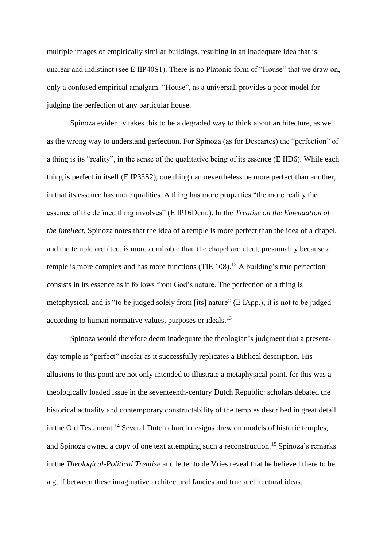multiple images of empirically similar buildings, resulting in an inadequate idea that is unclear and indistinct (see E IIP40S1). There is no Platonic form of "House" that we draw on, only a confused empirical amalgam. "House", as a universal, provides a poor model for judging the perfection of any particular house.

Spinoza evidently takes this to be a degraded way to think about architecture, as well as the wrong way to understand perfection. For Spinoza (as for Descartes) the "perfection" of a thing is its "reality", in the sense of the qualitative being of its essence (E IID6). While each thing is perfect in itself (E IP33S2), one thing can nevertheless be more perfect than another, in that its essence has more qualities. A thing has more properties "the more reality the essence of the defined thing involves" (E IP16Dem.). In the *Treatise on the Emendation of the Intellect,* Spinoza notes that the idea of a temple is more perfect than the idea of a chapel, and the temple architect is more admirable than the chapel architect, presumably because a temple is more complex and has more functions (TIE  $108$ ).<sup>12</sup> A building's true perfection consists in its essence as it follows from God's nature. The perfection of a thing is metaphysical, and is "to be judged solely from [its] nature" (E IApp.); it is not to be judged according to human normative values, purposes or ideals.<sup>13</sup>

Spinoza would therefore deem inadequate the theologian's judgment that a presentday temple is "perfect" insofar as it successfully replicates a Biblical description. His allusions to this point are not only intended to illustrate a metaphysical point, for this was a theologically loaded issue in the seventeenth-century Dutch Republic: scholars debated the historical actuality and contemporary constructability of the temples described in great detail in the Old Testament.<sup>14</sup> Several Dutch church designs drew on models of historic temples, and Spinoza owned a copy of one text attempting such a reconstruction.<sup>15</sup> Spinoza's remarks in the *Theological-Political Treatise* and letter to de Vries reveal that he believed there to be a gulf between these imaginative architectural fancies and true architectural ideas.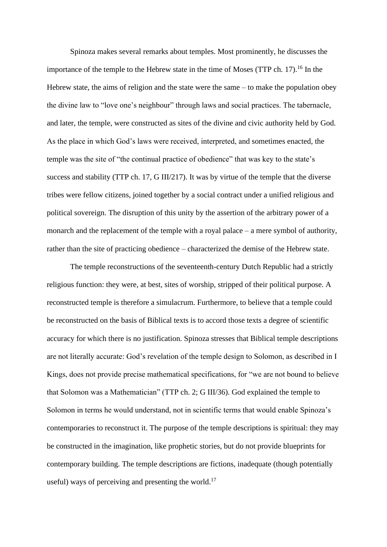Spinoza makes several remarks about temples. Most prominently, he discusses the importance of the temple to the Hebrew state in the time of Moses (TTP ch. 17).<sup>16</sup> In the Hebrew state, the aims of religion and the state were the same – to make the population obey the divine law to "love one's neighbour" through laws and social practices. The tabernacle, and later, the temple, were constructed as sites of the divine and civic authority held by God. As the place in which God's laws were received, interpreted, and sometimes enacted, the temple was the site of "the continual practice of obedience" that was key to the state's success and stability (TTP ch. 17, G III/217). It was by virtue of the temple that the diverse tribes were fellow citizens, joined together by a social contract under a unified religious and political sovereign. The disruption of this unity by the assertion of the arbitrary power of a monarch and the replacement of the temple with a royal palace – a mere symbol of authority, rather than the site of practicing obedience – characterized the demise of the Hebrew state.

The temple reconstructions of the seventeenth-century Dutch Republic had a strictly religious function: they were, at best, sites of worship, stripped of their political purpose. A reconstructed temple is therefore a simulacrum. Furthermore, to believe that a temple could be reconstructed on the basis of Biblical texts is to accord those texts a degree of scientific accuracy for which there is no justification. Spinoza stresses that Biblical temple descriptions are not literally accurate: God's revelation of the temple design to Solomon, as described in I Kings, does not provide precise mathematical specifications, for "we are not bound to believe that Solomon was a Mathematician" (TTP ch. 2; G III/36). God explained the temple to Solomon in terms he would understand, not in scientific terms that would enable Spinoza's contemporaries to reconstruct it. The purpose of the temple descriptions is spiritual: they may be constructed in the imagination, like prophetic stories, but do not provide blueprints for contemporary building. The temple descriptions are fictions, inadequate (though potentially useful) ways of perceiving and presenting the world.<sup>17</sup>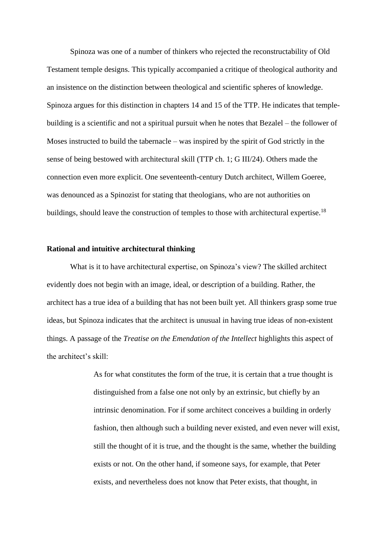Spinoza was one of a number of thinkers who rejected the reconstructability of Old Testament temple designs. This typically accompanied a critique of theological authority and an insistence on the distinction between theological and scientific spheres of knowledge. Spinoza argues for this distinction in chapters 14 and 15 of the TTP. He indicates that templebuilding is a scientific and not a spiritual pursuit when he notes that Bezalel – the follower of Moses instructed to build the tabernacle – was inspired by the spirit of God strictly in the sense of being bestowed with architectural skill (TTP ch. 1; G III/24). Others made the connection even more explicit. One seventeenth-century Dutch architect, Willem Goeree, was denounced as a Spinozist for stating that theologians, who are not authorities on buildings, should leave the construction of temples to those with architectural expertise.<sup>18</sup>

# **Rational and intuitive architectural thinking**

What is it to have architectural expertise, on Spinoza's view? The skilled architect evidently does not begin with an image, ideal, or description of a building. Rather, the architect has a true idea of a building that has not been built yet. All thinkers grasp some true ideas, but Spinoza indicates that the architect is unusual in having true ideas of non-existent things. A passage of the *Treatise on the Emendation of the Intellect* highlights this aspect of the architect's skill:

> As for what constitutes the form of the true, it is certain that a true thought is distinguished from a false one not only by an extrinsic, but chiefly by an intrinsic denomination. For if some architect conceives a building in orderly fashion, then although such a building never existed, and even never will exist, still the thought of it is true, and the thought is the same, whether the building exists or not. On the other hand, if someone says, for example, that Peter exists, and nevertheless does not know that Peter exists, that thought, in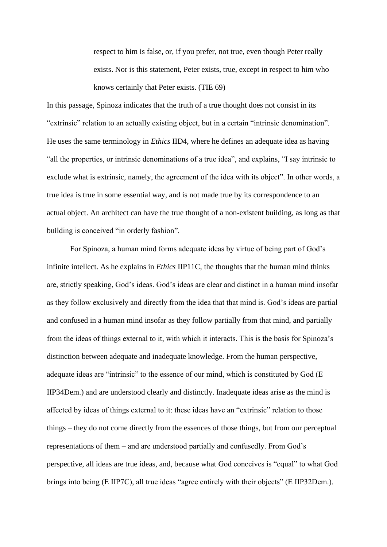respect to him is false, or, if you prefer, not true, even though Peter really exists. Nor is this statement, Peter exists, true, except in respect to him who knows certainly that Peter exists. (TIE 69)

In this passage, Spinoza indicates that the truth of a true thought does not consist in its "extrinsic" relation to an actually existing object, but in a certain "intrinsic denomination". He uses the same terminology in *Ethics* IID4, where he defines an adequate idea as having "all the properties, or intrinsic denominations of a true idea", and explains, "I say intrinsic to exclude what is extrinsic, namely, the agreement of the idea with its object". In other words, a true idea is true in some essential way, and is not made true by its correspondence to an actual object. An architect can have the true thought of a non-existent building, as long as that building is conceived "in orderly fashion".

For Spinoza, a human mind forms adequate ideas by virtue of being part of God's infinite intellect. As he explains in *Ethics* IIP11C, the thoughts that the human mind thinks are, strictly speaking, God's ideas. God's ideas are clear and distinct in a human mind insofar as they follow exclusively and directly from the idea that that mind is. God's ideas are partial and confused in a human mind insofar as they follow partially from that mind, and partially from the ideas of things external to it, with which it interacts. This is the basis for Spinoza's distinction between adequate and inadequate knowledge. From the human perspective, adequate ideas are "intrinsic" to the essence of our mind, which is constituted by God (E IIP34Dem.) and are understood clearly and distinctly. Inadequate ideas arise as the mind is affected by ideas of things external to it: these ideas have an "extrinsic" relation to those things – they do not come directly from the essences of those things, but from our perceptual representations of them – and are understood partially and confusedly. From God's perspective, all ideas are true ideas, and, because what God conceives is "equal" to what God brings into being (E IIP7C), all true ideas "agree entirely with their objects" (E IIP32Dem.).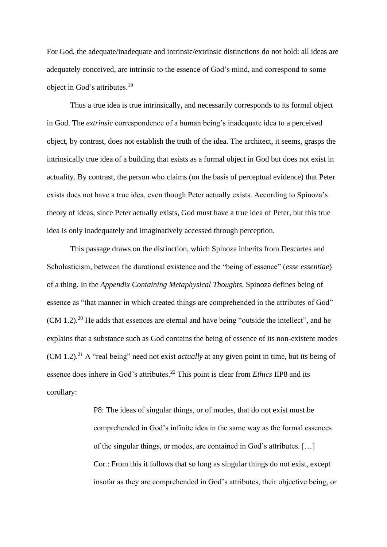For God, the adequate/inadequate and intrinsic/extrinsic distinctions do not hold: all ideas are adequately conceived, are intrinsic to the essence of God's mind, and correspond to some object in God's attributes.<sup>19</sup>

Thus a true idea is true intrinsically, and necessarily corresponds to its formal object in God. The *extrinsic* correspondence of a human being's inadequate idea to a perceived object, by contrast, does not establish the truth of the idea. The architect, it seems, grasps the intrinsically true idea of a building that exists as a formal object in God but does not exist in actuality. By contrast, the person who claims (on the basis of perceptual evidence) that Peter exists does not have a true idea, even though Peter actually exists. According to Spinoza's theory of ideas, since Peter actually exists, God must have a true idea of Peter, but this true idea is only inadequately and imaginatively accessed through perception.

This passage draws on the distinction, which Spinoza inherits from Descartes and Scholasticism, between the durational existence and the "being of essence" (*esse essentiae*) of a thing. In the *Appendix Containing Metaphysical Thoughts*, Spinoza defines being of essence as "that manner in which created things are comprehended in the attributes of God" (CM 1.2).<sup>20</sup> He adds that essences are eternal and have being "outside the intellect", and he explains that a substance such as God contains the being of essence of its non-existent modes (CM 1.2).<sup>21</sup> A "real being" need not exist *actually* at any given point in time, but its being of essence does inhere in God's attributes.<sup>22</sup> This point is clear from *Ethics* IIP8 and its corollary:

> P8: The ideas of singular things, or of modes, that do not exist must be comprehended in God's infinite idea in the same way as the formal essences of the singular things, or modes, are contained in God's attributes. […] Cor.: From this it follows that so long as singular things do not exist, except insofar as they are comprehended in God's attributes, their objective being, or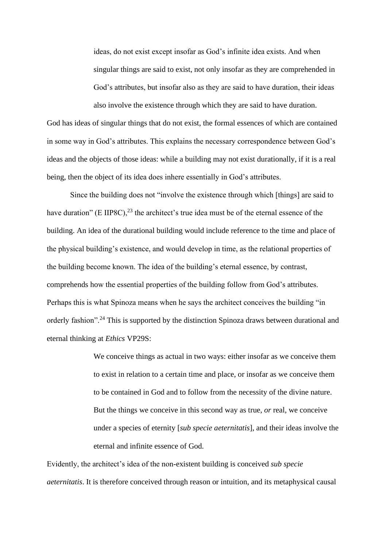ideas, do not exist except insofar as God's infinite idea exists. And when singular things are said to exist, not only insofar as they are comprehended in God's attributes, but insofar also as they are said to have duration, their ideas also involve the existence through which they are said to have duration.

God has ideas of singular things that do not exist, the formal essences of which are contained in some way in God's attributes. This explains the necessary correspondence between God's ideas and the objects of those ideas: while a building may not exist durationally, if it is a real being, then the object of its idea does inhere essentially in God's attributes.

Since the building does not "involve the existence through which [things] are said to have duration" (E IIP8C),  $^{23}$  the architect's true idea must be of the eternal essence of the building. An idea of the durational building would include reference to the time and place of the physical building's existence, and would develop in time, as the relational properties of the building become known. The idea of the building's eternal essence, by contrast, comprehends how the essential properties of the building follow from God's attributes. Perhaps this is what Spinoza means when he says the architect conceives the building "in orderly fashion".<sup>24</sup> This is supported by the distinction Spinoza draws between durational and eternal thinking at *Ethics* VP29S:

> We conceive things as actual in two ways: either insofar as we conceive them to exist in relation to a certain time and place, or insofar as we conceive them to be contained in God and to follow from the necessity of the divine nature. But the things we conceive in this second way as true, *or* real, we conceive under a species of eternity [*sub specie aeternitatis*], and their ideas involve the eternal and infinite essence of God.

Evidently, the architect's idea of the non-existent building is conceived *sub specie aeternitatis*. It is therefore conceived through reason or intuition, and its metaphysical causal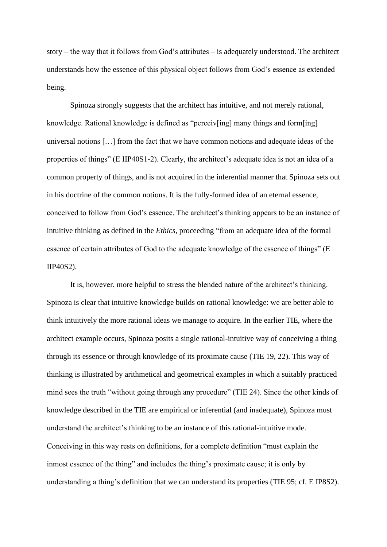story – the way that it follows from God's attributes – is adequately understood. The architect understands how the essence of this physical object follows from God's essence as extended being.

Spinoza strongly suggests that the architect has intuitive, and not merely rational, knowledge. Rational knowledge is defined as "perceiv[ing] many things and form[ing] universal notions […] from the fact that we have common notions and adequate ideas of the properties of things" (E IIP40S1-2). Clearly, the architect's adequate idea is not an idea of a common property of things, and is not acquired in the inferential manner that Spinoza sets out in his doctrine of the common notions. It is the fully-formed idea of an eternal essence, conceived to follow from God's essence. The architect's thinking appears to be an instance of intuitive thinking as defined in the *Ethics*, proceeding "from an adequate idea of the formal essence of certain attributes of God to the adequate knowledge of the essence of things" (E IIP40S2).

It is, however, more helpful to stress the blended nature of the architect's thinking. Spinoza is clear that intuitive knowledge builds on rational knowledge: we are better able to think intuitively the more rational ideas we manage to acquire. In the earlier TIE, where the architect example occurs, Spinoza posits a single rational-intuitive way of conceiving a thing through its essence or through knowledge of its proximate cause (TIE 19, 22). This way of thinking is illustrated by arithmetical and geometrical examples in which a suitably practiced mind sees the truth "without going through any procedure" (TIE 24). Since the other kinds of knowledge described in the TIE are empirical or inferential (and inadequate), Spinoza must understand the architect's thinking to be an instance of this rational-intuitive mode. Conceiving in this way rests on definitions, for a complete definition "must explain the inmost essence of the thing" and includes the thing's proximate cause; it is only by understanding a thing's definition that we can understand its properties (TIE 95; cf. E IP8S2).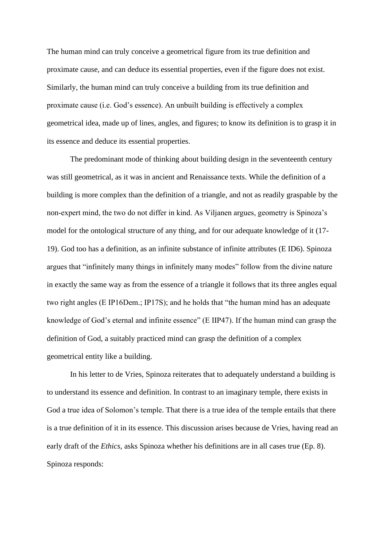The human mind can truly conceive a geometrical figure from its true definition and proximate cause, and can deduce its essential properties, even if the figure does not exist. Similarly, the human mind can truly conceive a building from its true definition and proximate cause (i.e. God's essence). An unbuilt building is effectively a complex geometrical idea, made up of lines, angles, and figures; to know its definition is to grasp it in its essence and deduce its essential properties.

The predominant mode of thinking about building design in the seventeenth century was still geometrical, as it was in ancient and Renaissance texts. While the definition of a building is more complex than the definition of a triangle, and not as readily graspable by the non-expert mind, the two do not differ in kind. As Viljanen argues, geometry is Spinoza's model for the ontological structure of any thing, and for our adequate knowledge of it (17- 19). God too has a definition, as an infinite substance of infinite attributes (E ID6). Spinoza argues that "infinitely many things in infinitely many modes" follow from the divine nature in exactly the same way as from the essence of a triangle it follows that its three angles equal two right angles (E IP16Dem.; IP17S); and he holds that "the human mind has an adequate knowledge of God's eternal and infinite essence" (E IIP47). If the human mind can grasp the definition of God, a suitably practiced mind can grasp the definition of a complex geometrical entity like a building.

In his letter to de Vries, Spinoza reiterates that to adequately understand a building is to understand its essence and definition. In contrast to an imaginary temple, there exists in God a true idea of Solomon's temple. That there is a true idea of the temple entails that there is a true definition of it in its essence. This discussion arises because de Vries, having read an early draft of the *Ethics*, asks Spinoza whether his definitions are in all cases true (Ep. 8). Spinoza responds: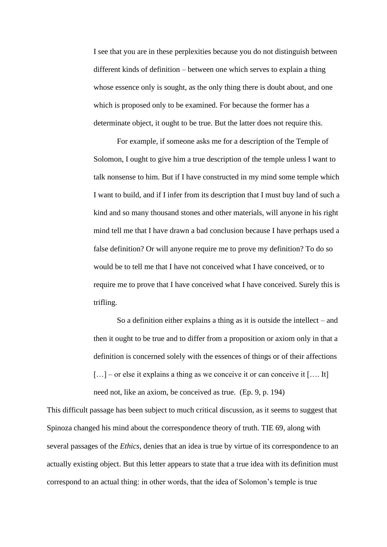I see that you are in these perplexities because you do not distinguish between different kinds of definition – between one which serves to explain a thing whose essence only is sought, as the only thing there is doubt about, and one which is proposed only to be examined. For because the former has a determinate object, it ought to be true. But the latter does not require this.

For example, if someone asks me for a description of the Temple of Solomon, I ought to give him a true description of the temple unless I want to talk nonsense to him. But if I have constructed in my mind some temple which I want to build, and if I infer from its description that I must buy land of such a kind and so many thousand stones and other materials, will anyone in his right mind tell me that I have drawn a bad conclusion because I have perhaps used a false definition? Or will anyone require me to prove my definition? To do so would be to tell me that I have not conceived what I have conceived, or to require me to prove that I have conceived what I have conceived. Surely this is trifling.

So a definition either explains a thing as it is outside the intellect – and then it ought to be true and to differ from a proposition or axiom only in that a definition is concerned solely with the essences of things or of their affections  $[\dots]$  – or else it explains a thing as we conceive it or can conceive it  $[\dots]$  It

need not, like an axiom, be conceived as true. (Ep. 9, p. 194)

This difficult passage has been subject to much critical discussion, as it seems to suggest that Spinoza changed his mind about the correspondence theory of truth. TIE 69, along with several passages of the *Ethics*, denies that an idea is true by virtue of its correspondence to an actually existing object. But this letter appears to state that a true idea with its definition must correspond to an actual thing: in other words, that the idea of Solomon's temple is true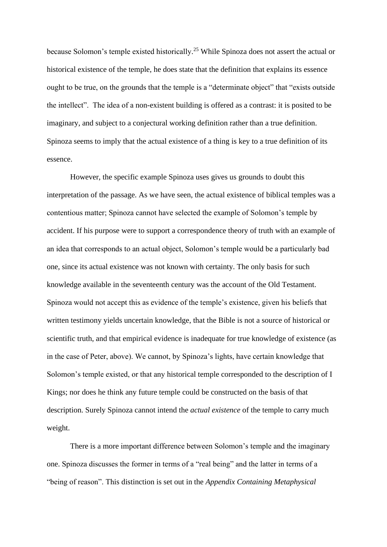because Solomon's temple existed historically.<sup>25</sup> While Spinoza does not assert the actual or historical existence of the temple, he does state that the definition that explains its essence ought to be true, on the grounds that the temple is a "determinate object" that "exists outside the intellect". The idea of a non-existent building is offered as a contrast: it is posited to be imaginary, and subject to a conjectural working definition rather than a true definition. Spinoza seems to imply that the actual existence of a thing is key to a true definition of its essence.

However, the specific example Spinoza uses gives us grounds to doubt this interpretation of the passage. As we have seen, the actual existence of biblical temples was a contentious matter; Spinoza cannot have selected the example of Solomon's temple by accident. If his purpose were to support a correspondence theory of truth with an example of an idea that corresponds to an actual object, Solomon's temple would be a particularly bad one, since its actual existence was not known with certainty. The only basis for such knowledge available in the seventeenth century was the account of the Old Testament. Spinoza would not accept this as evidence of the temple's existence, given his beliefs that written testimony yields uncertain knowledge, that the Bible is not a source of historical or scientific truth, and that empirical evidence is inadequate for true knowledge of existence (as in the case of Peter, above). We cannot, by Spinoza's lights, have certain knowledge that Solomon's temple existed, or that any historical temple corresponded to the description of I Kings; nor does he think any future temple could be constructed on the basis of that description. Surely Spinoza cannot intend the *actual existence* of the temple to carry much weight.

There is a more important difference between Solomon's temple and the imaginary one. Spinoza discusses the former in terms of a "real being" and the latter in terms of a "being of reason". This distinction is set out in the *Appendix Containing Metaphysical*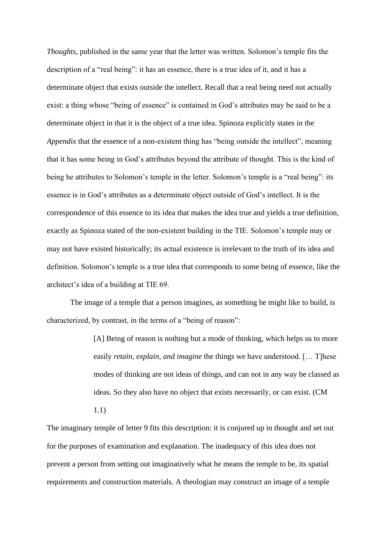*Thoughts*, published in the same year that the letter was written. Solomon's temple fits the description of a "real being": it has an essence, there is a true idea of it, and it has a determinate object that exists outside the intellect. Recall that a real being need not actually exist: a thing whose "being of essence" is contained in God's attributes may be said to be a determinate object in that it is the object of a true idea. Spinoza explicitly states in the *Appendix* that the essence of a non-existent thing has "being outside the intellect", meaning that it has some being in God's attributes beyond the attribute of thought. This is the kind of being he attributes to Solomon's temple in the letter. Solomon's temple is a "real being": its essence is in God's attributes as a determinate object outside of God's intellect. It is the correspondence of this essence to its idea that makes the idea true and yields a true definition, exactly as Spinoza stated of the non-existent building in the TIE. Solomon's temple may or may not have existed historically; its actual existence is irrelevant to the truth of its idea and definition. Solomon's temple is a true idea that corresponds to some being of essence, like the architect's idea of a building at TIE 69.

The image of a temple that a person imagines, as something he might like to build, is characterized, by contrast, in the terms of a "being of reason":

> [A] Being of reason is nothing but a mode of thinking, which helps us to more easily *retain, explain, and imagine* the things we have understood. [… T]hese modes of thinking are not ideas of things, and can not in any way be classed as ideas. So they also have no object that exists necessarily, or can exist. (CM

1.1)

The imaginary temple of letter 9 fits this description: it is conjured up in thought and set out for the purposes of examination and explanation. The inadequacy of this idea does not prevent a person from setting out imaginatively what he means the temple to be, its spatial requirements and construction materials. A theologian may construct an image of a temple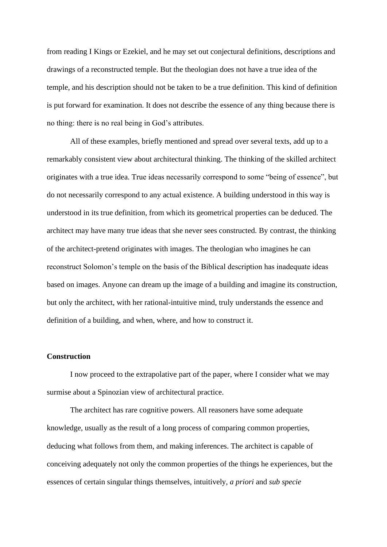from reading I Kings or Ezekiel, and he may set out conjectural definitions, descriptions and drawings of a reconstructed temple. But the theologian does not have a true idea of the temple, and his description should not be taken to be a true definition. This kind of definition is put forward for examination. It does not describe the essence of any thing because there is no thing: there is no real being in God's attributes.

All of these examples, briefly mentioned and spread over several texts, add up to a remarkably consistent view about architectural thinking. The thinking of the skilled architect originates with a true idea. True ideas necessarily correspond to some "being of essence", but do not necessarily correspond to any actual existence. A building understood in this way is understood in its true definition, from which its geometrical properties can be deduced. The architect may have many true ideas that she never sees constructed. By contrast, the thinking of the architect-pretend originates with images. The theologian who imagines he can reconstruct Solomon's temple on the basis of the Biblical description has inadequate ideas based on images. Anyone can dream up the image of a building and imagine its construction, but only the architect, with her rational-intuitive mind, truly understands the essence and definition of a building, and when, where, and how to construct it.

## **Construction**

I now proceed to the extrapolative part of the paper, where I consider what we may surmise about a Spinozian view of architectural practice.

The architect has rare cognitive powers. All reasoners have some adequate knowledge, usually as the result of a long process of comparing common properties, deducing what follows from them, and making inferences. The architect is capable of conceiving adequately not only the common properties of the things he experiences, but the essences of certain singular things themselves, intuitively, *a priori* and *sub specie*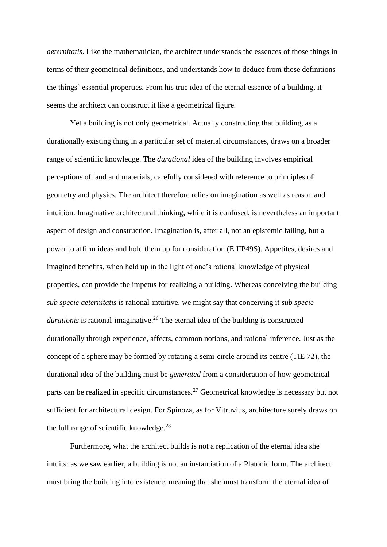*aeternitatis*. Like the mathematician, the architect understands the essences of those things in terms of their geometrical definitions, and understands how to deduce from those definitions the things' essential properties. From his true idea of the eternal essence of a building, it seems the architect can construct it like a geometrical figure.

Yet a building is not only geometrical. Actually constructing that building, as a durationally existing thing in a particular set of material circumstances, draws on a broader range of scientific knowledge. The *durational* idea of the building involves empirical perceptions of land and materials, carefully considered with reference to principles of geometry and physics. The architect therefore relies on imagination as well as reason and intuition. Imaginative architectural thinking, while it is confused, is nevertheless an important aspect of design and construction. Imagination is, after all, not an epistemic failing, but a power to affirm ideas and hold them up for consideration (E IIP49S). Appetites, desires and imagined benefits, when held up in the light of one's rational knowledge of physical properties, can provide the impetus for realizing a building. Whereas conceiving the building *sub specie aeternitatis* is rational-intuitive, we might say that conceiving it *sub specie durationis* is rational-imaginative.<sup>26</sup> The eternal idea of the building is constructed durationally through experience, affects, common notions, and rational inference. Just as the concept of a sphere may be formed by rotating a semi-circle around its centre (TIE 72), the durational idea of the building must be *generated* from a consideration of how geometrical parts can be realized in specific circumstances.<sup>27</sup> Geometrical knowledge is necessary but not sufficient for architectural design. For Spinoza, as for Vitruvius, architecture surely draws on the full range of scientific knowledge. $28$ 

Furthermore, what the architect builds is not a replication of the eternal idea she intuits: as we saw earlier, a building is not an instantiation of a Platonic form. The architect must bring the building into existence, meaning that she must transform the eternal idea of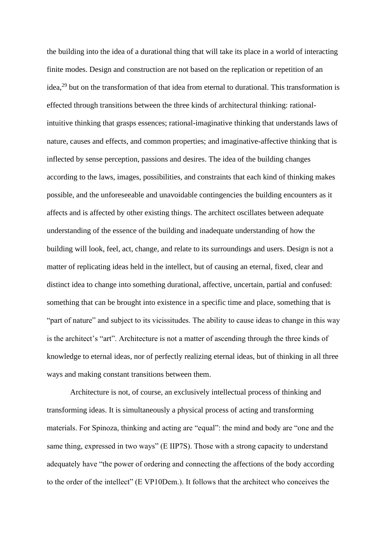the building into the idea of a durational thing that will take its place in a world of interacting finite modes. Design and construction are not based on the replication or repetition of an idea,<sup>29</sup> but on the transformation of that idea from eternal to durational. This transformation is effected through transitions between the three kinds of architectural thinking: rationalintuitive thinking that grasps essences; rational-imaginative thinking that understands laws of nature, causes and effects, and common properties; and imaginative-affective thinking that is inflected by sense perception, passions and desires. The idea of the building changes according to the laws, images, possibilities, and constraints that each kind of thinking makes possible, and the unforeseeable and unavoidable contingencies the building encounters as it affects and is affected by other existing things. The architect oscillates between adequate understanding of the essence of the building and inadequate understanding of how the building will look, feel, act, change, and relate to its surroundings and users. Design is not a matter of replicating ideas held in the intellect, but of causing an eternal, fixed, clear and distinct idea to change into something durational, affective, uncertain, partial and confused: something that can be brought into existence in a specific time and place, something that is "part of nature" and subject to its vicissitudes. The ability to cause ideas to change in this way is the architect's "art". Architecture is not a matter of ascending through the three kinds of knowledge to eternal ideas, nor of perfectly realizing eternal ideas, but of thinking in all three ways and making constant transitions between them.

Architecture is not, of course, an exclusively intellectual process of thinking and transforming ideas. It is simultaneously a physical process of acting and transforming materials. For Spinoza, thinking and acting are "equal": the mind and body are "one and the same thing, expressed in two ways" (E IIP7S). Those with a strong capacity to understand adequately have "the power of ordering and connecting the affections of the body according to the order of the intellect" (E VP10Dem.). It follows that the architect who conceives the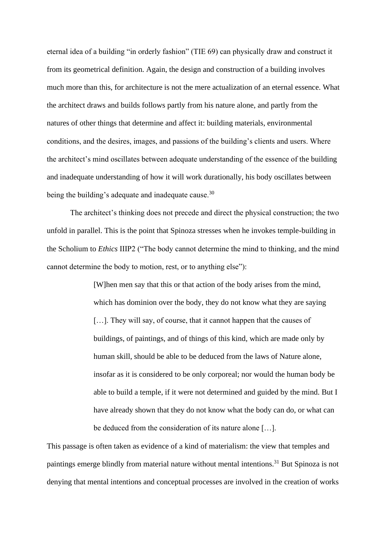eternal idea of a building "in orderly fashion" (TIE 69) can physically draw and construct it from its geometrical definition. Again, the design and construction of a building involves much more than this, for architecture is not the mere actualization of an eternal essence. What the architect draws and builds follows partly from his nature alone, and partly from the natures of other things that determine and affect it: building materials, environmental conditions, and the desires, images, and passions of the building's clients and users. Where the architect's mind oscillates between adequate understanding of the essence of the building and inadequate understanding of how it will work durationally, his body oscillates between being the building's adequate and inadequate cause.<sup>30</sup>

The architect's thinking does not precede and direct the physical construction; the two unfold in parallel. This is the point that Spinoza stresses when he invokes temple-building in the Scholium to *Ethics* IIIP2 ("The body cannot determine the mind to thinking, and the mind cannot determine the body to motion, rest, or to anything else"):

> [W]hen men say that this or that action of the body arises from the mind, which has dominion over the body, they do not know what they are saying [...]. They will say, of course, that it cannot happen that the causes of buildings, of paintings, and of things of this kind, which are made only by human skill, should be able to be deduced from the laws of Nature alone, insofar as it is considered to be only corporeal; nor would the human body be able to build a temple, if it were not determined and guided by the mind. But I have already shown that they do not know what the body can do, or what can be deduced from the consideration of its nature alone […].

This passage is often taken as evidence of a kind of materialism: the view that temples and paintings emerge blindly from material nature without mental intentions.<sup>31</sup> But Spinoza is not denying that mental intentions and conceptual processes are involved in the creation of works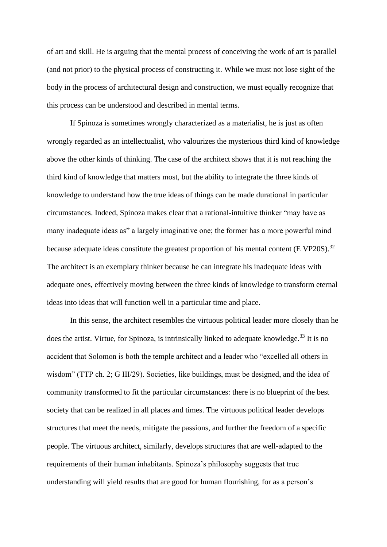of art and skill. He is arguing that the mental process of conceiving the work of art is parallel (and not prior) to the physical process of constructing it. While we must not lose sight of the body in the process of architectural design and construction, we must equally recognize that this process can be understood and described in mental terms.

If Spinoza is sometimes wrongly characterized as a materialist, he is just as often wrongly regarded as an intellectualist, who valourizes the mysterious third kind of knowledge above the other kinds of thinking. The case of the architect shows that it is not reaching the third kind of knowledge that matters most, but the ability to integrate the three kinds of knowledge to understand how the true ideas of things can be made durational in particular circumstances. Indeed, Spinoza makes clear that a rational-intuitive thinker "may have as many inadequate ideas as" a largely imaginative one; the former has a more powerful mind because adequate ideas constitute the greatest proportion of his mental content (E VP20S).<sup>32</sup> The architect is an exemplary thinker because he can integrate his inadequate ideas with adequate ones, effectively moving between the three kinds of knowledge to transform eternal ideas into ideas that will function well in a particular time and place.

In this sense, the architect resembles the virtuous political leader more closely than he does the artist. Virtue, for Spinoza, is intrinsically linked to adequate knowledge.<sup>33</sup> It is no accident that Solomon is both the temple architect and a leader who "excelled all others in wisdom" (TTP ch. 2; G III/29). Societies, like buildings, must be designed, and the idea of community transformed to fit the particular circumstances: there is no blueprint of the best society that can be realized in all places and times. The virtuous political leader develops structures that meet the needs, mitigate the passions, and further the freedom of a specific people. The virtuous architect, similarly, develops structures that are well-adapted to the requirements of their human inhabitants. Spinoza's philosophy suggests that true understanding will yield results that are good for human flourishing, for as a person's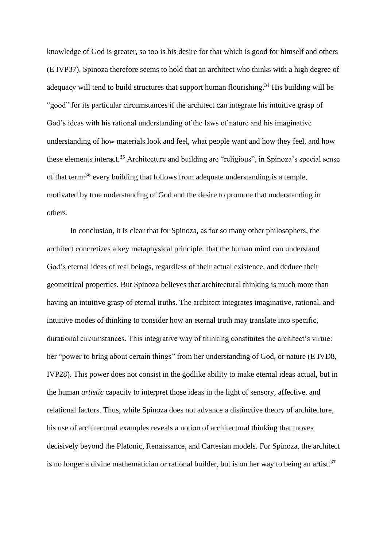knowledge of God is greater, so too is his desire for that which is good for himself and others (E IVP37). Spinoza therefore seems to hold that an architect who thinks with a high degree of adequacy will tend to build structures that support human flourishing.<sup>34</sup> His building will be "good" for its particular circumstances if the architect can integrate his intuitive grasp of God's ideas with his rational understanding of the laws of nature and his imaginative understanding of how materials look and feel, what people want and how they feel, and how these elements interact.<sup>35</sup> Architecture and building are "religious", in Spinoza's special sense of that term:<sup>36</sup> every building that follows from adequate understanding is a temple, motivated by true understanding of God and the desire to promote that understanding in others.

In conclusion, it is clear that for Spinoza, as for so many other philosophers, the architect concretizes a key metaphysical principle: that the human mind can understand God's eternal ideas of real beings, regardless of their actual existence, and deduce their geometrical properties. But Spinoza believes that architectural thinking is much more than having an intuitive grasp of eternal truths. The architect integrates imaginative, rational, and intuitive modes of thinking to consider how an eternal truth may translate into specific, durational circumstances. This integrative way of thinking constitutes the architect's virtue: her "power to bring about certain things" from her understanding of God, or nature (E IVD8, IVP28). This power does not consist in the godlike ability to make eternal ideas actual, but in the human *artistic* capacity to interpret those ideas in the light of sensory, affective, and relational factors. Thus, while Spinoza does not advance a distinctive theory of architecture, his use of architectural examples reveals a notion of architectural thinking that moves decisively beyond the Platonic, Renaissance, and Cartesian models. For Spinoza, the architect is no longer a divine mathematician or rational builder, but is on her way to being an artist.<sup>37</sup>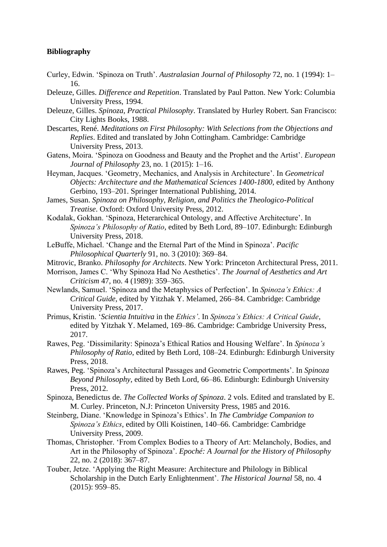# **Bibliography**

- Curley, Edwin. 'Spinoza on Truth'. *Australasian Journal of Philosophy* 72, no. 1 (1994): 1– 16.
- Deleuze, Gilles. *Difference and Repetition*. Translated by Paul Patton. New York: Columbia University Press, 1994.
- Deleuze, Gilles. *Spinoza, Practical Philosophy*. Translated by Hurley Robert. San Francisco: City Lights Books, 1988.
- Descartes, René. *Meditations on First Philosophy: With Selections from the Objections and Replies*. Edited and translated by John Cottingham. Cambridge: Cambridge University Press, 2013.
- Gatens, Moira. 'Spinoza on Goodness and Beauty and the Prophet and the Artist'. *European Journal of Philosophy* 23, no. 1 (2015): 1–16.
- Heyman, Jacques. 'Geometry, Mechanics, and Analysis in Architecture'. In *Geometrical Objects: Architecture and the Mathematical Sciences 1400-1800*, edited by Anthony Gerbino, 193–201. Springer International Publishing, 2014.
- James, Susan. *Spinoza on Philosophy, Religion, and Politics the Theologico-Political Treatise*. Oxford: Oxford University Press, 2012.
- Kodalak, Gokhan. 'Spinoza, Heterarchical Ontology, and Affective Architecture'. In *Spinoza's Philosophy of Ratio*, edited by Beth Lord, 89–107. Edinburgh: Edinburgh University Press, 2018.
- LeBuffe, Michael. 'Change and the Eternal Part of the Mind in Spinoza'. *Pacific Philosophical Quarterly* 91, no. 3 (2010): 369–84.
- Mitrovic, Branko. *Philosophy for Architects*. New York: Princeton Architectural Press, 2011.
- Morrison, James C. 'Why Spinoza Had No Aesthetics'. *The Journal of Aesthetics and Art Criticism* 47, no. 4 (1989): 359–365.
- Newlands, Samuel. 'Spinoza and the Metaphysics of Perfection'. In *Spinoza's Ethics: A Critical Guide*, edited by Yitzhak Y. Melamed, 266–84. Cambridge: Cambridge University Press, 2017.
- Primus, Kristin. '*Scientia Intuitiva* in the *Ethics'*. In *Spinoza's Ethics: A Critical Guide*, edited by Yitzhak Y. Melamed, 169–86. Cambridge: Cambridge University Press, 2017.
- Rawes, Peg. 'Dissimilarity: Spinoza's Ethical Ratios and Housing Welfare'. In *Spinoza's Philosophy of Ratio*, edited by Beth Lord, 108–24. Edinburgh: Edinburgh University Press, 2018.
- Rawes, Peg. 'Spinoza's Architectural Passages and Geometric Comportments'. In *Spinoza Beyond Philosophy*, edited by Beth Lord, 66–86. Edinburgh: Edinburgh University Press, 2012.
- Spinoza, Benedictus de. *The Collected Works of Spinoza*. 2 vols. Edited and translated by E. M. Curley. Princeton, N.J: Princeton University Press, 1985 and 2016.
- Steinberg, Diane. 'Knowledge in Spinoza's Ethics'. In *The Cambridge Companion to Spinoza's Ethics*, edited by Olli Koistinen, 140–66. Cambridge: Cambridge University Press, 2009.
- Thomas, Christopher. 'From Complex Bodies to a Theory of Art: Melancholy, Bodies, and Art in the Philosophy of Spinoza'. *Epoché: A Journal for the History of Philosophy* 22, no. 2 (2018): 367–87.
- Touber, Jetze. 'Applying the Right Measure: Architecture and Philology in Biblical Scholarship in the Dutch Early Enlightenment'. *The Historical Journal* 58, no. 4 (2015): 959–85.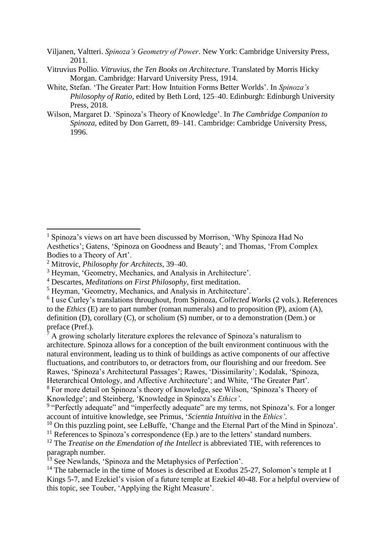- Viljanen, Valtteri. *Spinoza's Geometry of Power*. New York: Cambridge University Press, 2011.
- Vitruvius Pollio. *Vitruvius, the Ten Books on Architecture*. Translated by Morris Hicky Morgan. Cambridge: Harvard University Press, 1914.
- White, Stefan. 'The Greater Part: How Intuition Forms Better Worlds'. In *Spinoza's Philosophy of Ratio*, edited by Beth Lord, 125–40. Edinburgh: Edinburgh University Press, 2018.
- Wilson, Margaret D. 'Spinoza's Theory of Knowledge'. In *The Cambridge Companion to Spinoza*, edited by Don Garrett, 89–141. Cambridge: Cambridge University Press, 1996.

 $\bar{7}$  A growing scholarly literature explores the relevance of Spinoza's naturalism to architecture. Spinoza allows for a conception of the built environment continuous with the natural environment, leading us to think of buildings as active components of our affective fluctuations, and contributors to, or detractors from, our flourishing and our freedom. See Rawes, 'Spinoza's Architectural Passages'; Rawes, 'Dissimilarity'; Kodalak, 'Spinoza, Heterarchical Ontology, and Affective Architecture'; and White, 'The Greater Part'. <sup>8</sup> For more detail on Spinoza's theory of knowledge, see Wilson, 'Spinoza's Theory of Knowledge'; and Steinberg, 'Knowledge in Spinoza's *Ethics'*.

<sup>13</sup> See Newlands, 'Spinoza and the Metaphysics of Perfection'.

<sup>&</sup>lt;sup>1</sup> Spinoza's views on art have been discussed by Morrison, 'Why Spinoza Had No Aesthetics'; Gatens, 'Spinoza on Goodness and Beauty'; and Thomas, 'From Complex Bodies to a Theory of Art'.

<sup>2</sup> Mitrovic, *Philosophy for Architects*, 39–40.

<sup>&</sup>lt;sup>3</sup> Heyman, 'Geometry, Mechanics, and Analysis in Architecture'.

<sup>4</sup> Descartes, *Meditations on First Philosophy,* first meditation.

<sup>5</sup> Heyman, 'Geometry, Mechanics, and Analysis in Architecture'.

<sup>6</sup> I use Curley's translations throughout, from Spinoza, *Collected Works* (2 vols.). References to the *Ethics* (E) are to part number (roman numerals) and to proposition (P), axiom (A), definition (D), corollary (C), or scholium (S) number, or to a demonstration (Dem.) or preface (Pref.).

<sup>&</sup>lt;sup>9</sup> "Perfectly adequate" and "imperfectly adequate" are my terms, not Spinoza's. For a longer account of intuitive knowledge, see Primus, '*Scientia Intuitiva* in the *Ethics'*.

<sup>&</sup>lt;sup>10</sup> On this puzzling point, see LeBuffe, 'Change and the Eternal Part of the Mind in Spinoza'.

 $11$  References to Spinoza's correspondence (Ep.) are to the letters' standard numbers.

<sup>&</sup>lt;sup>12</sup> The *Treatise on the Emendation of the Intellect* is abbreviated TIE, with references to paragraph number.

<sup>&</sup>lt;sup>14</sup> The tabernacle in the time of Moses is described at Exodus 25-27, Solomon's temple at I Kings 5-7, and Ezekiel's vision of a future temple at Ezekiel 40-48. For a helpful overview of this topic, see Touber, 'Applying the Right Measure'.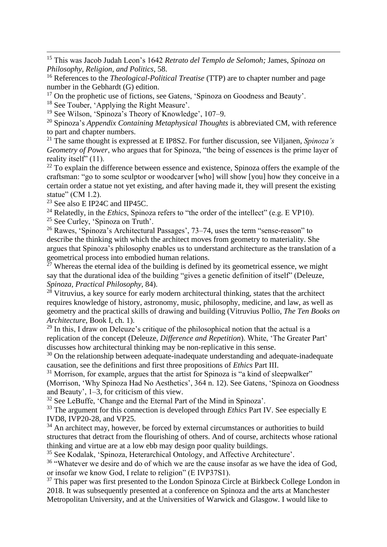<sup>15</sup> This was Jacob Judah Leon's 1642 *Retrato del Templo de Selomoh;* James, *Spinoza on Philosophy, Religion, and Politics*, 58.

<sup>16</sup> References to the *Theological-Political Treatise* (TTP) are to chapter number and page number in the Gebhardt (G) edition.

<sup>17</sup> On the prophetic use of fictions, see Gatens, 'Spinoza on Goodness and Beauty'.

<sup>18</sup> See Touber, 'Applying the Right Measure'.

<sup>19</sup> See Wilson, 'Spinoza's Theory of Knowledge', 107–9.

<sup>20</sup> Spinoza's *Appendix Containing Metaphysical Thoughts* is abbreviated CM, with reference to part and chapter numbers.

<sup>21</sup> The same thought is expressed at E IP8S2. For further discussion, see Viljanen, *Spinoza's Geometry of Power*, who argues that for Spinoza, "the being of essences is the prime layer of reality itself" (11).

 $22$  To explain the difference between essence and existence, Spinoza offers the example of the craftsman: "go to some sculptor or woodcarver [who] will show [you] how they conceive in a certain order a statue not yet existing, and after having made it, they will present the existing statue" (CM 1.2).

<sup>23</sup> See also E IP24C and IIP45C.

<sup>24</sup> Relatedly, in the *Ethics*, Spinoza refers to "the order of the intellect" (e.g. E VP10).

<sup>25</sup> See Curley, 'Spinoza on Truth'.

<sup>26</sup> Rawes, 'Spinoza's Architectural Passages', 73–74, uses the term "sense-reason" to describe the thinking with which the architect moves from geometry to materiality. She argues that Spinoza's philosophy enables us to understand architecture as the translation of a geometrical process into embodied human relations.

 $27$  Whereas the eternal idea of the building is defined by its geometrical essence, we might say that the durational idea of the building "gives a genetic definition of itself" (Deleuze, *Spinoza, Practical Philosophy*, 84).

 $28$  Vitruvius, a key source for early modern architectural thinking, states that the architect requires knowledge of history, astronomy, music, philosophy, medicine, and law, as well as geometry and the practical skills of drawing and building (Vitruvius Pollio, *The Ten Books on Architecture*, Book I, ch. 1).

 $29$  In this, I draw on Deleuze's critique of the philosophical notion that the actual is a replication of the concept (Deleuze, *Difference and Repetition*). White, 'The Greater Part' discusses how architectural thinking may be non-replicative in this sense.

<sup>30</sup> On the relationship between adequate-inadequate understanding and adequate-inadequate causation, see the definitions and first three propositions of *Ethics* Part III.

<sup>31</sup> Morrison, for example, argues that the artist for Spinoza is "a kind of sleepwalker" (Morrison, 'Why Spinoza Had No Aesthetics', 364 n. 12). See Gatens, 'Spinoza on Goodness and Beauty', 1–3, for criticism of this view.

<sup>32</sup> See LeBuffe, 'Change and the Eternal Part of the Mind in Spinoza'.

<sup>33</sup> The argument for this connection is developed through *Ethics* Part IV. See especially E IVD8, IVP20-28, and VP25.

 $34$  An architect may, however, be forced by external circumstances or authorities to build structures that detract from the flourishing of others. And of course, architects whose rational thinking and virtue are at a low ebb may design poor quality buildings.

<sup>35</sup> See Kodalak, 'Spinoza, Heterarchical Ontology, and Affective Architecture'.

<sup>36</sup> "Whatever we desire and do of which we are the cause insofar as we have the idea of God, or insofar we know God, I relate to religion" (E IVP37S1).

<sup>37</sup> This paper was first presented to the London Spinoza Circle at Birkbeck College London in 2018. It was subsequently presented at a conference on Spinoza and the arts at Manchester Metropolitan University, and at the Universities of Warwick and Glasgow. I would like to